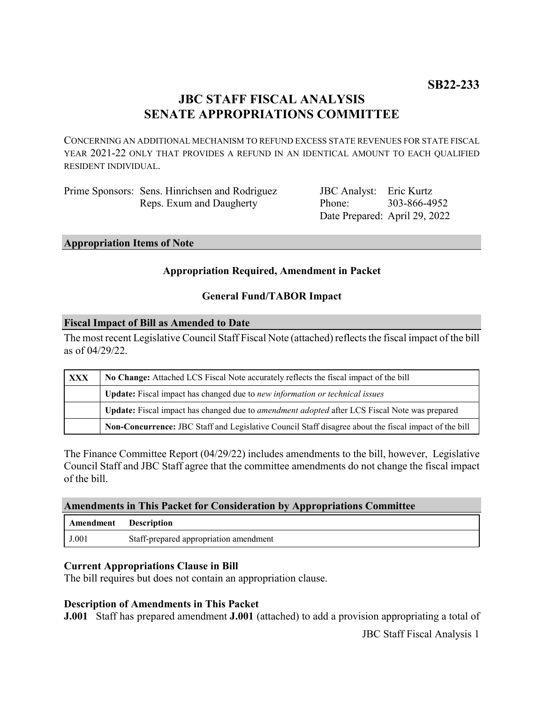# **JBC STAFF FISCAL ANALYSIS SENATE APPROPRIATIONS COMMITTEE**

CONCERNING AN ADDITIONAL MECHANISM TO REFUND EXCESS STATE REVENUES FOR STATE FISCAL YEAR 2021-22 ONLY THAT PROVIDES A REFUND IN AN IDENTICAL AMOUNT TO EACH QUALIFIED RESIDENT INDIVIDUAL.

| Prime Sponsors: Sens. Hinrichsen and Rodriguez |
|------------------------------------------------|
| Reps. Exum and Daugherty                       |

JBC Analyst: Eric Kurtz Phone: Date Prepared: April 29, 2022 303-866-4952

#### **Appropriation Items of Note**

### **Appropriation Required, Amendment in Packet**

### **General Fund/TABOR Impact**

#### **Fiscal Impact of Bill as Amended to Date**

The most recent Legislative Council Staff Fiscal Note (attached) reflects the fiscal impact of the bill as of 04/29/22.

| <b>XXX</b> | No Change: Attached LCS Fiscal Note accurately reflects the fiscal impact of the bill                 |  |
|------------|-------------------------------------------------------------------------------------------------------|--|
|            | <b>Update:</b> Fiscal impact has changed due to new information or technical issues                   |  |
|            | Update: Fiscal impact has changed due to <i>amendment adopted</i> after LCS Fiscal Note was prepared  |  |
|            | Non-Concurrence: JBC Staff and Legislative Council Staff disagree about the fiscal impact of the bill |  |

The Finance Committee Report (04/29/22) includes amendments to the bill, however, Legislative Council Staff and JBC Staff agree that the committee amendments do not change the fiscal impact of the bill.

#### **Amendments in This Packet for Consideration by Appropriations Committee**

| Amendment | <b>Description</b>                     |
|-----------|----------------------------------------|
| J.001     | Staff-prepared appropriation amendment |

#### **Current Appropriations Clause in Bill**

The bill requires but does not contain an appropriation clause.

#### **Description of Amendments in This Packet**

**J.001** Staff has prepared amendment **J.001** (attached) to add a provision appropriating a total of

JBC Staff Fiscal Analysis 1